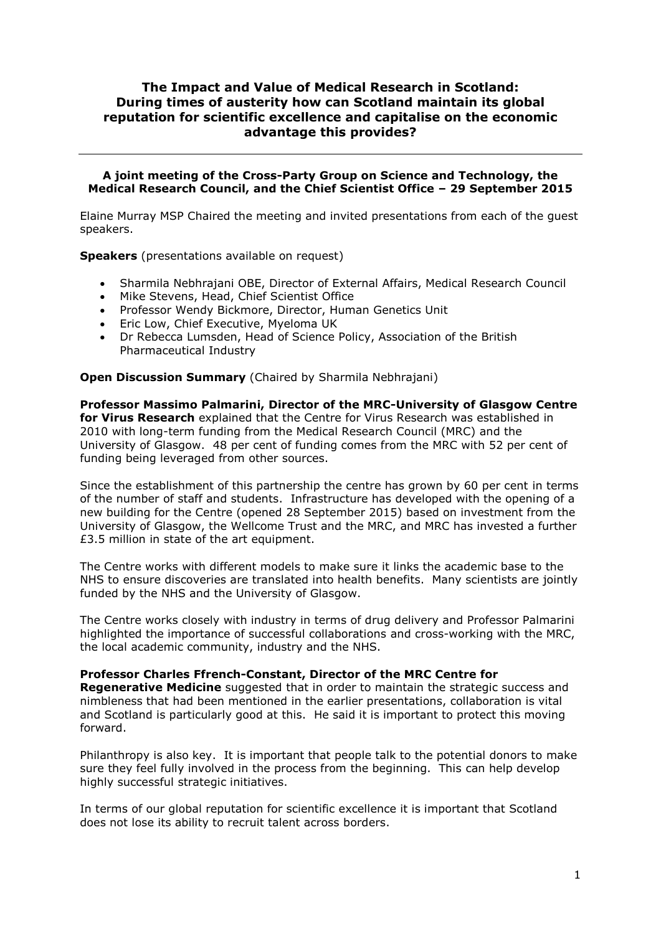## **The Impact and Value of Medical Research in Scotland: During times of austerity how can Scotland maintain its global reputation for scientific excellence and capitalise on the economic advantage this provides?**

## **A joint meeting of the Cross-Party Group on Science and Technology, the Medical Research Council, and the Chief Scientist Office – 29 September 2015**

Elaine Murray MSP Chaired the meeting and invited presentations from each of the guest speakers.

**Speakers** (presentations available on request)

- Sharmila Nebhrajani OBE, Director of External Affairs, Medical Research Council
- Mike Stevens, Head, Chief Scientist Office
- Professor Wendy Bickmore, Director, Human Genetics Unit
- Eric Low, Chief Executive, Myeloma UK
- Dr Rebecca Lumsden, Head of Science Policy, Association of the British Pharmaceutical Industry

**Open Discussion Summary** (Chaired by Sharmila Nebhrajani)

**Professor Massimo Palmarini, Director of the MRC-University of Glasgow Centre for Virus Research** explained that the Centre for Virus Research was established in 2010 with long-term funding from the Medical Research Council (MRC) and the University of Glasgow. 48 per cent of funding comes from the MRC with 52 per cent of funding being leveraged from other sources.

Since the establishment of this partnership the centre has grown by 60 per cent in terms of the number of staff and students. Infrastructure has developed with the opening of a new building for the Centre (opened 28 September 2015) based on investment from the University of Glasgow, the Wellcome Trust and the MRC, and MRC has invested a further £3.5 million in state of the art equipment.

The Centre works with different models to make sure it links the academic base to the NHS to ensure discoveries are translated into health benefits. Many scientists are jointly funded by the NHS and the University of Glasgow.

The Centre works closely with industry in terms of drug delivery and Professor Palmarini highlighted the importance of successful collaborations and cross-working with the MRC, the local academic community, industry and the NHS.

## **Professor Charles Ffrench-Constant, Director of the MRC Centre for**

**Regenerative Medicine** suggested that in order to maintain the strategic success and nimbleness that had been mentioned in the earlier presentations, collaboration is vital and Scotland is particularly good at this. He said it is important to protect this moving forward.

Philanthropy is also key. It is important that people talk to the potential donors to make sure they feel fully involved in the process from the beginning. This can help develop highly successful strategic initiatives.

In terms of our global reputation for scientific excellence it is important that Scotland does not lose its ability to recruit talent across borders.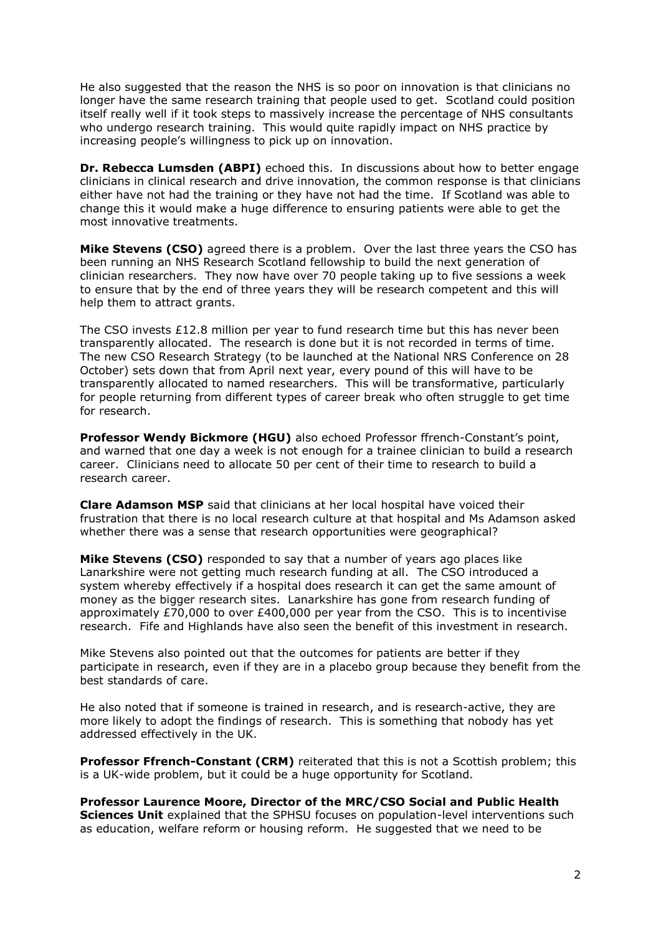He also suggested that the reason the NHS is so poor on innovation is that clinicians no longer have the same research training that people used to get. Scotland could position itself really well if it took steps to massively increase the percentage of NHS consultants who undergo research training. This would quite rapidly impact on NHS practice by increasing people's willingness to pick up on innovation.

**Dr. Rebecca Lumsden (ABPI)** echoed this. In discussions about how to better engage clinicians in clinical research and drive innovation, the common response is that clinicians either have not had the training or they have not had the time. If Scotland was able to change this it would make a huge difference to ensuring patients were able to get the most innovative treatments.

**Mike Stevens (CSO)** agreed there is a problem. Over the last three years the CSO has been running an NHS Research Scotland fellowship to build the next generation of clinician researchers. They now have over 70 people taking up to five sessions a week to ensure that by the end of three years they will be research competent and this will help them to attract grants.

The CSO invests  $£12.8$  million per year to fund research time but this has never been transparently allocated. The research is done but it is not recorded in terms of time. The new CSO Research Strategy (to be launched at the National NRS Conference on 28 October) sets down that from April next year, every pound of this will have to be transparently allocated to named researchers. This will be transformative, particularly for people returning from different types of career break who often struggle to get time for research.

**Professor Wendy Bickmore (HGU)** also echoed Professor ffrench-Constant's point, and warned that one day a week is not enough for a trainee clinician to build a research career. Clinicians need to allocate 50 per cent of their time to research to build a research career.

**Clare Adamson MSP** said that clinicians at her local hospital have voiced their frustration that there is no local research culture at that hospital and Ms Adamson asked whether there was a sense that research opportunities were geographical?

**Mike Stevens (CSO)** responded to say that a number of years ago places like Lanarkshire were not getting much research funding at all. The CSO introduced a system whereby effectively if a hospital does research it can get the same amount of money as the bigger research sites. Lanarkshire has gone from research funding of approximately £70,000 to over £400,000 per year from the CSO. This is to incentivise research. Fife and Highlands have also seen the benefit of this investment in research.

Mike Stevens also pointed out that the outcomes for patients are better if they participate in research, even if they are in a placebo group because they benefit from the best standards of care.

He also noted that if someone is trained in research, and is research-active, they are more likely to adopt the findings of research. This is something that nobody has yet addressed effectively in the UK.

**Professor Ffrench-Constant (CRM)** reiterated that this is not a Scottish problem; this is a UK-wide problem, but it could be a huge opportunity for Scotland.

**Professor Laurence Moore, Director of the MRC/CSO Social and Public Health Sciences Unit** explained that the SPHSU focuses on population-level interventions such as education, welfare reform or housing reform. He suggested that we need to be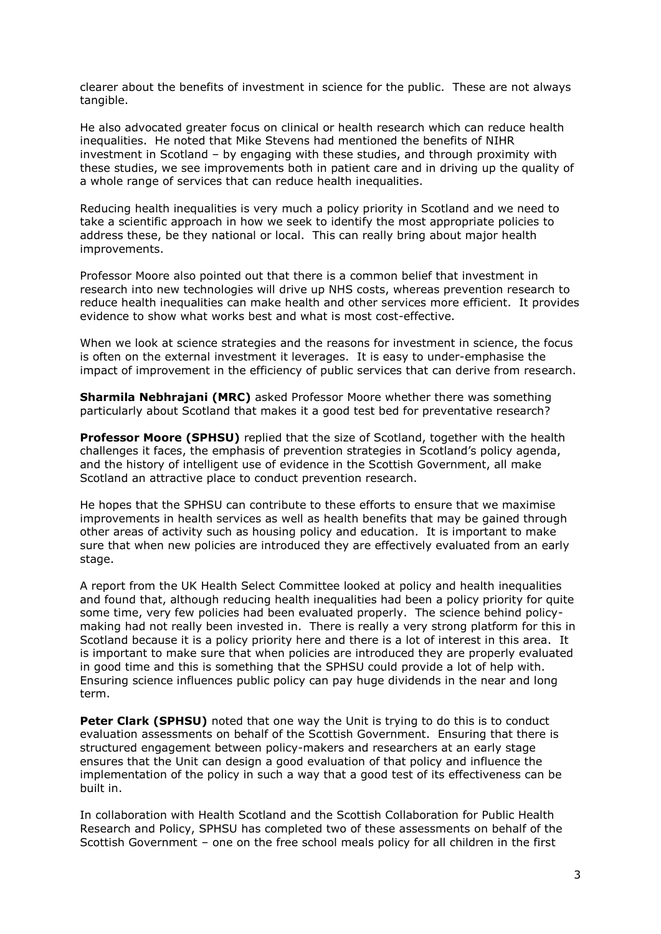clearer about the benefits of investment in science for the public. These are not always tangible.

He also advocated greater focus on clinical or health research which can reduce health inequalities. He noted that Mike Stevens had mentioned the benefits of NIHR investment in Scotland – by engaging with these studies, and through proximity with these studies, we see improvements both in patient care and in driving up the quality of a whole range of services that can reduce health inequalities.

Reducing health inequalities is very much a policy priority in Scotland and we need to take a scientific approach in how we seek to identify the most appropriate policies to address these, be they national or local. This can really bring about major health improvements.

Professor Moore also pointed out that there is a common belief that investment in research into new technologies will drive up NHS costs, whereas prevention research to reduce health inequalities can make health and other services more efficient. It provides evidence to show what works best and what is most cost-effective.

When we look at science strategies and the reasons for investment in science, the focus is often on the external investment it leverages. It is easy to under-emphasise the impact of improvement in the efficiency of public services that can derive from research.

**Sharmila Nebhrajani (MRC)** asked Professor Moore whether there was something particularly about Scotland that makes it a good test bed for preventative research?

**Professor Moore (SPHSU)** replied that the size of Scotland, together with the health challenges it faces, the emphasis of prevention strategies in Scotland's policy agenda, and the history of intelligent use of evidence in the Scottish Government, all make Scotland an attractive place to conduct prevention research.

He hopes that the SPHSU can contribute to these efforts to ensure that we maximise improvements in health services as well as health benefits that may be gained through other areas of activity such as housing policy and education. It is important to make sure that when new policies are introduced they are effectively evaluated from an early stage.

A report from the UK Health Select Committee looked at policy and health inequalities and found that, although reducing health inequalities had been a policy priority for quite some time, very few policies had been evaluated properly. The science behind policymaking had not really been invested in. There is really a very strong platform for this in Scotland because it is a policy priority here and there is a lot of interest in this area. It is important to make sure that when policies are introduced they are properly evaluated in good time and this is something that the SPHSU could provide a lot of help with. Ensuring science influences public policy can pay huge dividends in the near and long term.

**Peter Clark (SPHSU)** noted that one way the Unit is trying to do this is to conduct evaluation assessments on behalf of the Scottish Government. Ensuring that there is structured engagement between policy-makers and researchers at an early stage ensures that the Unit can design a good evaluation of that policy and influence the implementation of the policy in such a way that a good test of its effectiveness can be built in.

In collaboration with Health Scotland and the Scottish Collaboration for Public Health Research and Policy, SPHSU has completed two of these assessments on behalf of the Scottish Government – one on the free school meals policy for all children in the first